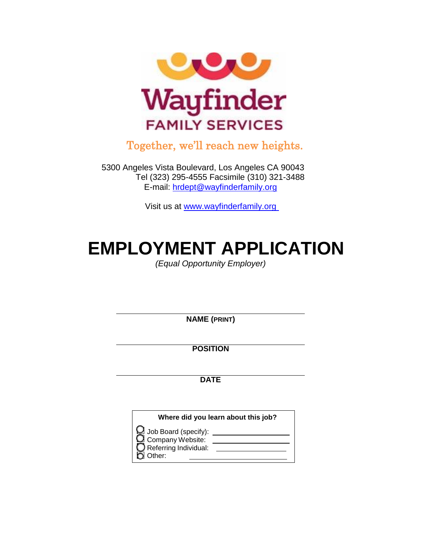

Together, we'll reach new heights.

5300 Angeles Vista Boulevard, Los Angeles CA 90043 Tel (323) 295-4555 Facsimile (310) 321-3488 E-mail: [hrdept@wayfinderfamily.org](mailto:hrdept@wayfinderfamily.org)

Visit us at www.wayfinderfamily.org

# **EMPLOYMENT APPLICATION**

*(Equal Opportunity Employer)*

**NAME (PRINT)**

**POSITION**

**DATE**

| Where did you learn about this job?                                       |  |  |  |
|---------------------------------------------------------------------------|--|--|--|
| $\mathbf{\mathcal{Q}}$ Job Board (specify):<br>Company Website:<br>Other: |  |  |  |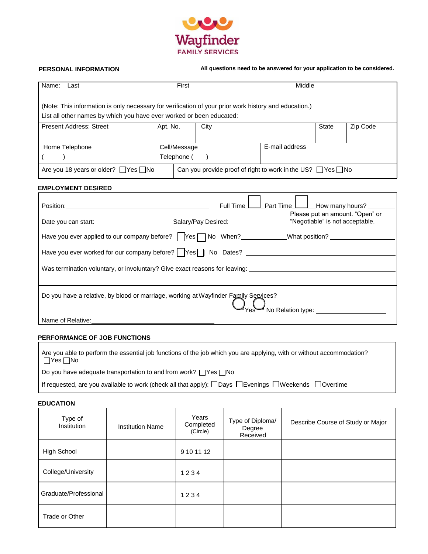

 **PERSONAL INFORMATION All questions need to be answered for your application to be considered.**

| Name:<br>Last                                                                                                                                                                 | First                       |      | Middle         |              |          |
|-------------------------------------------------------------------------------------------------------------------------------------------------------------------------------|-----------------------------|------|----------------|--------------|----------|
| (Note: This information is only necessary for verification of your prior work history and education.)<br>List all other names by which you have ever worked or been educated: |                             |      |                |              |          |
| <b>Present Address: Street</b>                                                                                                                                                | Apt. No.                    | City |                | <b>State</b> | Zip Code |
| Home Telephone                                                                                                                                                                | Cell/Message<br>Telephone ( |      | E-mail address |              |          |
| Can you provide proof of right to work in the US? $\Box$ Yes $\Box$ No<br>Are you 18 years or older? $\Box$ Yes $\Box$ No                                                     |                             |      |                |              |          |

#### **EMPLOYMENT DESIRED**

|                                                                                                                                  | Full Time L                                                    | $\Box$ How many hours?                                             |  |  |  |
|----------------------------------------------------------------------------------------------------------------------------------|----------------------------------------------------------------|--------------------------------------------------------------------|--|--|--|
| Date you can start:                                                                                                              | Salary/Pay Desired:<br><u>[</u> [11] Desired:<br>[12] Desired: | Please put an amount. "Open" or<br>"Negotiable" is not acceptable. |  |  |  |
| Have you ever applied to our company before? TYesTNo When? <b>Mark Action</b> 2 Unit at position? Unit position? Unit position 2 |                                                                |                                                                    |  |  |  |
| Have you ever worked for our company before?   Yes   No Dates? _________________                                                 |                                                                |                                                                    |  |  |  |
| Was termination voluntary, or involuntary? Give exact reasons for leaving: _______________________________                       |                                                                |                                                                    |  |  |  |
|                                                                                                                                  |                                                                |                                                                    |  |  |  |
| Do you have a relative, by blood or marriage, working at Wayfinder Family Services?<br>」<br>No Relation type: _________________  |                                                                |                                                                    |  |  |  |
| Name of Relative:                                                                                                                |                                                                |                                                                    |  |  |  |

#### **PERFORMANCE OF JOB FUNCTIONS**

| Are you able to perform the essential job functions of the job which you are applying, with or without accommodation?<br>$\Box$ Yes $\Box$ No |
|-----------------------------------------------------------------------------------------------------------------------------------------------|
| Do you have adequate transportation to and from work? $\Box$ Yes $\Box$ No                                                                    |

| If requested, are you available to work (check all that apply): □Days □Evenings □Weekends □Overtime |  |
|-----------------------------------------------------------------------------------------------------|--|
|-----------------------------------------------------------------------------------------------------|--|

#### **EDUCATION**

| Type of<br>Institution | <b>Institution Name</b> | Years<br>Completed<br>(Circle) | Type of Diploma/<br>Degree<br>Received | Describe Course of Study or Major |
|------------------------|-------------------------|--------------------------------|----------------------------------------|-----------------------------------|
| High School            |                         | 9 10 11 12                     |                                        |                                   |
| College/University     |                         | 1234                           |                                        |                                   |
| Graduate/Professional  |                         | 1234                           |                                        |                                   |
| Trade or Other         |                         |                                |                                        |                                   |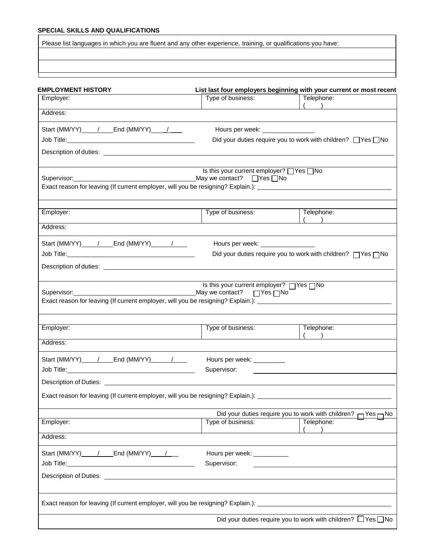### **SPECIAL SKILLS AND QUALIFICATIONS**

Please list languages in which you are fluent and any other experience, training, or qualifications you have:

| <b>EMPLOYMENT HISTORY</b>                                                                                           |                                                                                                                | List last four employers beginning with your current or most recent     |  |  |
|---------------------------------------------------------------------------------------------------------------------|----------------------------------------------------------------------------------------------------------------|-------------------------------------------------------------------------|--|--|
| Employer:                                                                                                           | Type of business:                                                                                              | Telephone:<br>(                                                         |  |  |
| Address:                                                                                                            |                                                                                                                |                                                                         |  |  |
| Start (MM/YY) ____ / ____ End (MM/YY) ____ / ____                                                                   | Hours per week: Network and the set of the set of the set of the set of the set of the set of the set of the s |                                                                         |  |  |
|                                                                                                                     |                                                                                                                | Did your duties require you to work with children? □ Yes □ No           |  |  |
|                                                                                                                     |                                                                                                                |                                                                         |  |  |
|                                                                                                                     | Is this your current employer? □ Yes □ No                                                                      |                                                                         |  |  |
| Supervisor:<br>Exact reason for leaving (If current employer, will you be resigning? Explain.): ___________________ | May we contact? $\Box$ Yes $\Box$ No                                                                           |                                                                         |  |  |
|                                                                                                                     |                                                                                                                |                                                                         |  |  |
| Employer:                                                                                                           | Type of business:                                                                                              | Telephone:                                                              |  |  |
| Address:                                                                                                            |                                                                                                                | $($ $)$                                                                 |  |  |
|                                                                                                                     |                                                                                                                |                                                                         |  |  |
| Start (MM/YY) / End (MM/YY) /                                                                                       | Hours per week: ________________                                                                               |                                                                         |  |  |
|                                                                                                                     |                                                                                                                | Did your duties require you to work with children? □Yes□No              |  |  |
|                                                                                                                     |                                                                                                                |                                                                         |  |  |
|                                                                                                                     | Is this your current employer? □Yes□No                                                                         |                                                                         |  |  |
| Exact reason for leaving (If current employer, will you be resigning? Explain.): ___________________                |                                                                                                                |                                                                         |  |  |
|                                                                                                                     |                                                                                                                |                                                                         |  |  |
| Employer:                                                                                                           | Type of business:                                                                                              | Telephone:                                                              |  |  |
| Address:                                                                                                            |                                                                                                                |                                                                         |  |  |
|                                                                                                                     |                                                                                                                |                                                                         |  |  |
| Start (MM/YY) _____ / ____ End (MM/YY) ______ / ____                                                                | Hours per week: _________                                                                                      |                                                                         |  |  |
|                                                                                                                     | Supervisor:                                                                                                    |                                                                         |  |  |
|                                                                                                                     |                                                                                                                |                                                                         |  |  |
| Exact reason for leaving (If current employer, will you be resigning? Explain.):                                    |                                                                                                                |                                                                         |  |  |
|                                                                                                                     | Did your duties require you to work with children? r                                                           | ⊣ Yes — No                                                              |  |  |
| Employer:                                                                                                           | Type of business:                                                                                              | Telephone:                                                              |  |  |
| Address:                                                                                                            |                                                                                                                |                                                                         |  |  |
| Start (MM/YY) ____ / ____ End (MM/YY) ___ / ___                                                                     | Hours per week: ____________                                                                                   |                                                                         |  |  |
|                                                                                                                     | Supervisor:                                                                                                    |                                                                         |  |  |
|                                                                                                                     |                                                                                                                |                                                                         |  |  |
|                                                                                                                     |                                                                                                                |                                                                         |  |  |
| Exact reason for leaving (If current employer, will you be resigning? Explain.): __________________                 |                                                                                                                |                                                                         |  |  |
|                                                                                                                     |                                                                                                                | Did your duties require you to work with children? $\Box$ Yes $\Box$ No |  |  |
|                                                                                                                     |                                                                                                                |                                                                         |  |  |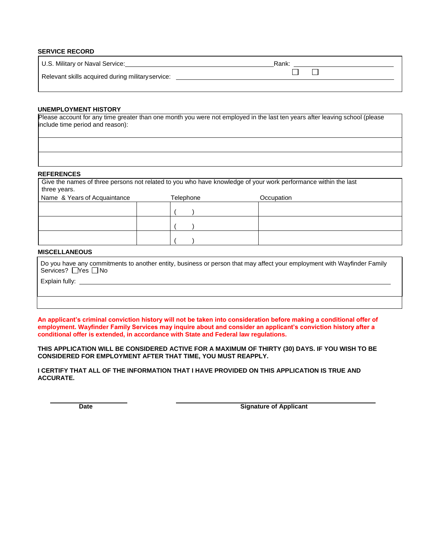#### **SERVICE RECORD**

| U.S. Military or Naval Service:                   | Rank: |
|---------------------------------------------------|-------|
| Relevant skills acquired during military service: |       |
|                                                   |       |

#### **UNEMPLOYMENT HISTORY**

Please account for any time greater than one month you were not employed in the last ten years after leaving school (please include time period and reason):

#### **REFERENCES**

| three years.                 |           | Give the names of three persons not related to you who have knowledge of your work performance within the last |  |
|------------------------------|-----------|----------------------------------------------------------------------------------------------------------------|--|
| Name & Years of Acquaintance | Telephone | Occupation                                                                                                     |  |
|                              |           |                                                                                                                |  |
|                              |           |                                                                                                                |  |
|                              |           |                                                                                                                |  |

#### **MISCELLANEOUS**

Do you have any commitments to another entity, business or person that may affect your employment with Wayfinder Family Services? <u>Nes</u> DNo

 $($  )

Explain fully:

**An applicant's criminal conviction history will not be taken into consideration before making a conditional offer of employment. Wayfinder Family Services may inquire about and consider an applicant's conviction history after a conditional offer is extended, in accordance with State and Federal law regulations.** 

**THIS APPLICATION WILL BE CONSIDERED ACTIVE FOR A MAXIMUM OF THIRTY (30) DAYS. IF YOU WISH TO BE CONSIDERED FOR EMPLOYMENT AFTER THAT TIME, YOU MUST REAPPLY.**

**I CERTIFY THAT ALL OF THE INFORMATION THAT I HAVE PROVIDED ON THIS APPLICATION IS TRUE AND ACCURATE.**

**Date CONSIDER Signature of Applicant**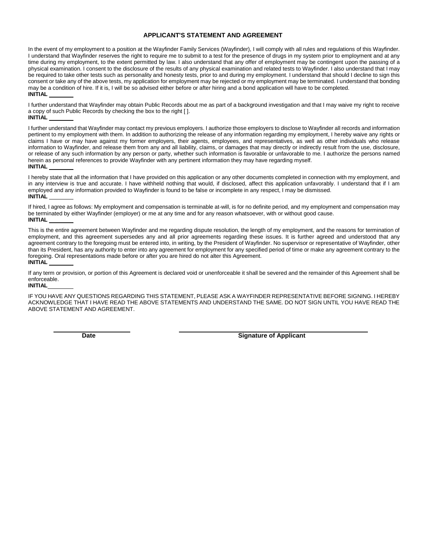#### **APPLICANT'S STATEMENT AND AGREEMENT**

In the event of my employment to a position at the Wayfinder Family Services (Wayfinder), I will comply with all rules and regulations of this Wayfinder. I understand that Wayfinder reserves the right to require me to submit to a test for the presence of drugs in my system prior to employment and at any time during my employment, to the extent permitted by law. I also understand that any offer of employment may be contingent upon the passing of a physical examination. I consent to the disclosure of the results of any physical examination and related tests to Wayfinder. I also understand that I may be required to take other tests such as personality and honesty tests, prior to and during my employment. I understand that should I decline to sign this consent or take any of the above tests, my application for employment may be rejected or my employment may be terminated. I understand that bonding may be a condition of hire. If it is, I will be so advised either before or after hiring and a bond application will have to be completed. **INITIAL** 

I further understand that Wayfinder may obtain Public Records about me as part of a background investigation and that I may waive my right to receive a copy of such Public Records by checking the box to the right [ ]. **INITIAL** 

I further understand that Wayfinder may contact my previous employers. I authorize those employers to disclose to Wayfinder all records and information pertinent to my employment with them. In addition to authorizing the release of any information regarding my employment, I hereby waive any rights or claims I have or may have against my former employers, their agents, employees, and representatives, as well as other individuals who release information to Wayfinder, and release them from any and all liability, claims, or damages that may directly or indirectly result from the use, disclosure, or release of any such information by any person or party, whether such information is favorable or unfavorable to me. I authorize the persons named herein as personal references to provide Wayfinder with any pertinent information they may have regarding myself. **INITIAL** 

I hereby state that all the information that I have provided on this application or any other documents completed in connection with my employment, and in any interview is true and accurate. I have withheld nothing that would, if disclosed, affect this application unfavorably. I understand that if I am employed and any information provided to Wayfinder is found to be false or incomplete in any respect, I may be dismissed. **INITIAL** 

If hired, I agree as follows: My employment and compensation is terminable at-will, is for no definite period, and my employment and compensation may be terminated by either Wayfinder (employer) or me at any time and for any reason whatsoever, with or without good cause. **INITIAL** 

This is the entire agreement between Wayfinder and me regarding dispute resolution, the length of my employment, and the reasons for termination of employment, and this agreement supersedes any and all prior agreements regarding these issues. It is further agreed and understood that any agreement contrary to the foregoing must be entered into, in writing, by the President of Wayfinder. No supervisor or representative of Wayfinder, other than its President, has any authority to enter into any agreement for employment for any specified period of time or make any agreement contrary to the foregoing. Oral representations made before or after you are hired do not alter this Agreement. **INITIAL** 

If any term or provision, or portion of this Agreement is declared void or unenforceable it shall be severed and the remainder of this Agreement shall be enforceable.

#### **INITIAL**

IF YOU HAVE ANY QUESTIONS REGARDING THIS STATEMENT, PLEASE ASK A WAYFINDER REPRESENTATIVE BEFORE SIGNING. I HEREBY ACKNOWLEDGE THAT I HAVE READ THE ABOVE STATEMENTS AND UNDERSTAND THE SAME. DO NOT SIGN UNTIL YOU HAVE READ THE ABOVE STATEMENT AND AGREEMENT.

**Date Signature of Applicant**